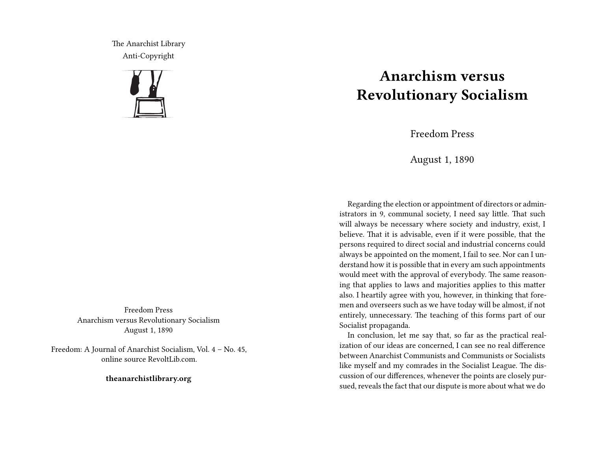The Anarchist Library Anti-Copyright



Freedom Press Anarchism versus Revolutionary Socialism August 1, 1890

Freedom: A Journal of Anarchist Socialism, Vol. 4 – No. 45, online source RevoltLib.com.

**theanarchistlibrary.org**

## **Anarchism versus Revolutionary Socialism**

Freedom Press

August 1, 1890

Regarding the election or appointment of directors or administrators in 9, communal society, I need say little. That such will always be necessary where society and industry, exist, I believe. That it is advisable, even if it were possible, that the persons required to direct social and industrial concerns could always be appointed on the moment, I fail to see. Nor can I understand how it is possible that in every am such appointments would meet with the approval of everybody. The same reasoning that applies to laws and majorities applies to this matter also. I heartily agree with you, however, in thinking that foremen and overseers such as we have today will be almost, if not entirely, unnecessary. The teaching of this forms part of our Socialist propaganda.

In conclusion, let me say that, so far as the practical realization of our ideas are concerned, I can see no real difference between Anarchist Communists and Communists or Socialists like myself and my comrades in the Socialist League. The discussion of our differences, whenever the points are closely pursued, reveals the fact that our dispute is more about what we do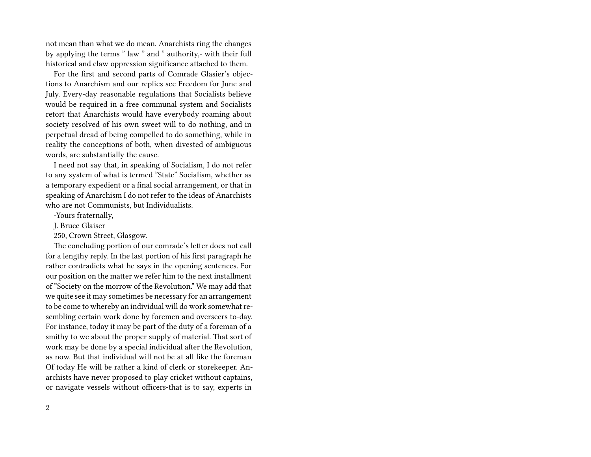not mean than what we do mean. Anarchists ring the changes by applying the terms " law " and " authority,- with their full historical and claw oppression significance attached to them.

For the first and second parts of Comrade Glasier's objections to Anarchism and our replies see Freedom for June and July. Every-day reasonable regulations that Socialists believe would be required in a free communal system and Socialists retort that Anarchists would have everybody roaming about society resolved of his own sweet will to do nothing, and in perpetual dread of being compelled to do something, while in reality the conceptions of both, when divested of ambiguous words, are substantially the cause.

I need not say that, in speaking of Socialism, I do not refer to any system of what is termed "State" Socialism, whether as a temporary expedient or a final social arrangement, or that in speaking of Anarchism I do not refer to the ideas of Anarchists who are not Communists, but Individualists.

-Yours fraternally,

J. Bruce Glaiser

250, Crown Street, Glasgow.

The concluding portion of our comrade's letter does not call for a lengthy reply. In the last portion of his first paragraph he rather contradicts what he says in the opening sentences. For our position on the matter we refer him to the next installment of "Society on the morrow of the Revolution." We may add that we quite see it may sometimes be necessary for an arrangement to be come to whereby an individual will do work somewhat resembling certain work done by foremen and overseers to-day. For instance, today it may be part of the duty of a foreman of a smithy to we about the proper supply of material. That sort of work may be done by a special individual after the Revolution, as now. But that individual will not be at all like the foreman Of today He will be rather a kind of clerk or storekeeper. Anarchists have never proposed to play cricket without captains, or navigate vessels without officers-that is to say, experts in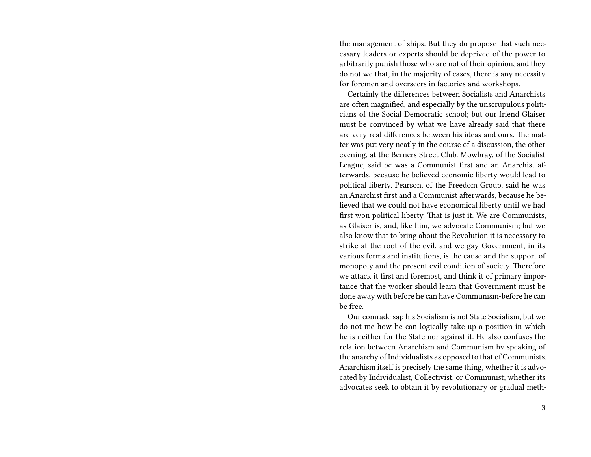the management of ships. But they do propose that such necessary leaders or experts should be deprived of the power to arbitrarily punish those who are not of their opinion, and they do not we that, in the majority of cases, there is any necessity for foremen and overseers in factories and workshops.

Certainly the differences between Socialists and Anarchists are often magnified, and especially by the unscrupulous politicians of the Social Democratic school; but our friend Glaiser must be convinced by what we have already said that there are very real differences between his ideas and ours. The matter was put very neatly in the course of a discussion, the other evening, at the Berners Street Club. Mowbray, of the Socialist League, said be was a Communist first and an Anarchist afterwards, because he believed economic liberty would lead to political liberty. Pearson, of the Freedom Group, said he was an Anarchist first and a Communist afterwards, because he believed that we could not have economical liberty until we had first won political liberty. That is just it. We are Communists, as Glaiser is, and, like him, we advocate Communism; but we also know that to bring about the Revolution it is necessary to strike at the root of the evil, and we gay Government, in its various forms and institutions, is the cause and the support of monopoly and the present evil condition of society. Therefore we attack it first and foremost, and think it of primary importance that the worker should learn that Government must be done away with before he can have Communism-before he can be free.

Our comrade sap his Socialism is not State Socialism, but we do not me how he can logically take up a position in which he is neither for the State nor against it. He also confuses the relation between Anarchism and Communism by speaking of the anarchy of Individualists as opposed to that of Communists. Anarchism itself is precisely the same thing, whether it is advocated by Individualist, Collectivist, or Communist; whether its advocates seek to obtain it by revolutionary or gradual meth